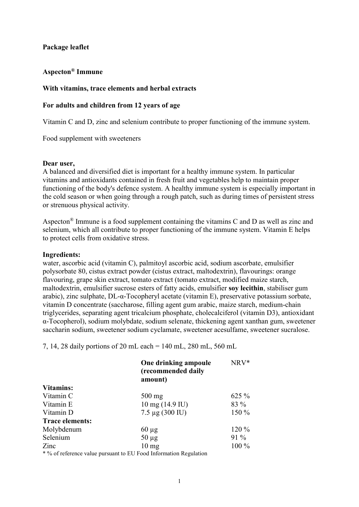# Package leaflet

# Aspecton® Immune

### With vitamins, trace elements and herbal extracts

### For adults and children from 12 years of age

Vitamin C and D, zinc and selenium contribute to proper functioning of the immune system.

Food supplement with sweeteners

### Dear user,

A balanced and diversified diet is important for a healthy immune system. In particular vitamins and antioxidants contained in fresh fruit and vegetables help to maintain proper functioning of the body's defence system. A healthy immune system is especially important in the cold season or when going through a rough patch, such as during times of persistent stress or strenuous physical activity.

Aspecton® Immune is a food supplement containing the vitamins C and D as well as zinc and selenium, which all contribute to proper functioning of the immune system. Vitamin E helps to protect cells from oxidative stress.

#### Ingredients:

water, ascorbic acid (vitamin C), palmitoyl ascorbic acid, sodium ascorbate, emulsifier polysorbate 80, cistus extract powder (cistus extract, maltodextrin), flavourings: orange flavouring, grape skin extract, tomato extract (tomato extract, modified maize starch, maltodextrin, emulsifier sucrose esters of fatty acids, emulsifier soy lecithin, stabiliser gum arabic), zinc sulphate, DL-α-Tocopheryl acetate (vitamin E), preservative potassium sorbate, vitamin D concentrate (saccharose, filling agent gum arabic, maize starch, medium-chain triglycerides, separating agent tricalcium phosphate, cholecalciferol (vitamin D3), antioxidant α-Tocopherol), sodium molybdate, sodium selenate, thickening agent xanthan gum, sweetener saccharin sodium, sweetener sodium cyclamate, sweetener acesulfame, sweetener sucralose.

7, 14, 28 daily portions of 20 mL each = 140 mL, 280 mL, 560 mL

|                        | One drinking ampoule<br>(recommended daily<br>amount) | NRV*     |
|------------------------|-------------------------------------------------------|----------|
| <b>Vitamins:</b>       |                                                       |          |
| Vitamin C              | $500$ mg                                              | $625 \%$ |
| Vitamin E              | $10 \text{ mg} (14.9 \text{ IU})$                     | 83 %     |
| Vitamin D              | $7.5 \mu$ g (300 IU)                                  | 150 %    |
| <b>Trace elements:</b> |                                                       |          |
| Molybdenum             | $60 \mu$ g                                            | 120 %    |
| Selenium               | $50 \mu g$                                            | $91\%$   |
| Zinc                   | $10 \text{ mg}$                                       | 100 %    |
|                        |                                                       |          |

\* % of reference value pursuant to EU Food Information Regulation